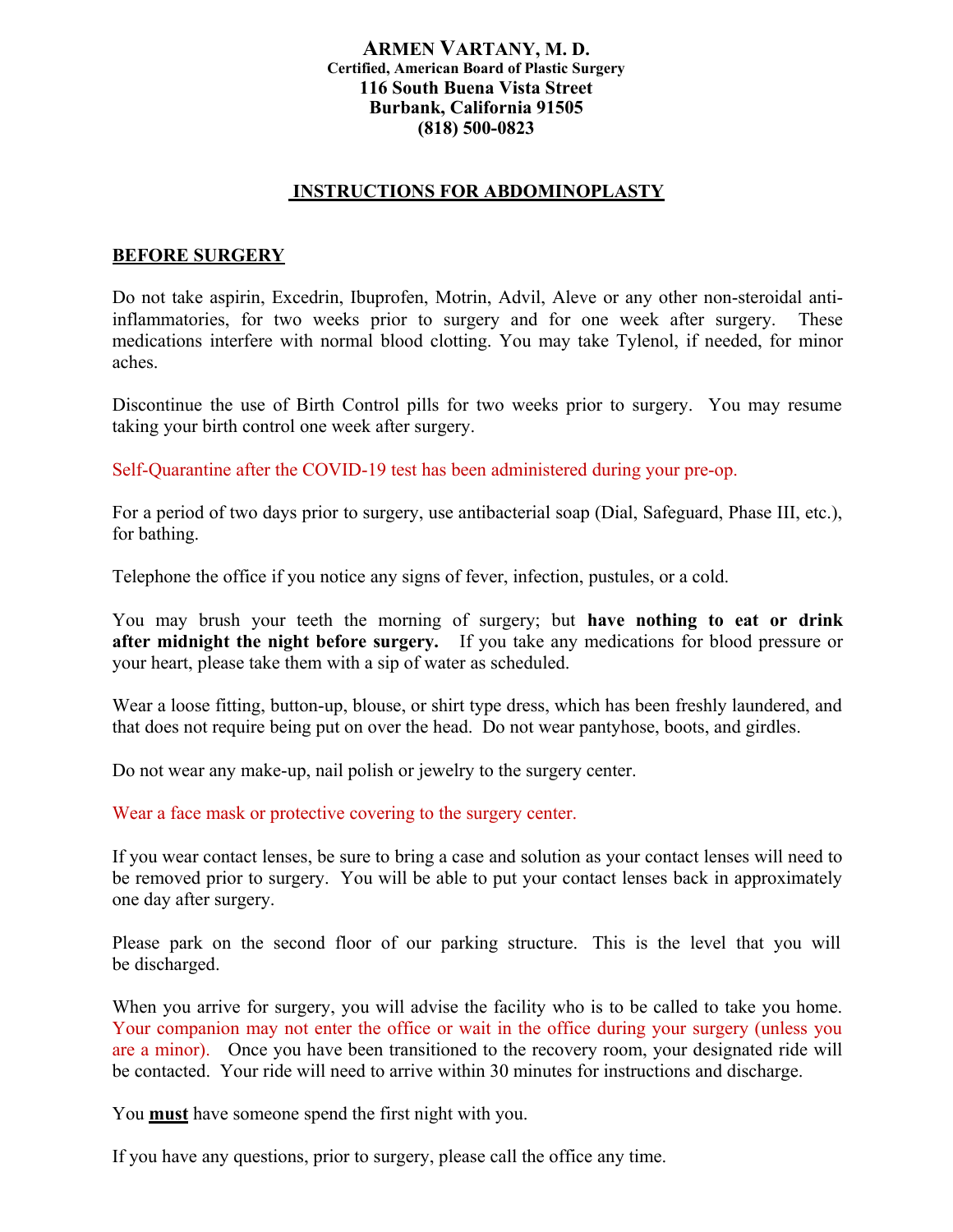## **ARMEN VARTANY, M. D. Certified, American Board of Plastic Surgery 116 South Buena Vista Street Burbank, California 91505 (818) 500-0823**

## **INSTRUCTIONS FOR ABDOMINOPLASTY**

## **BEFORE SURGERY**

Do not take aspirin, Excedrin, Ibuprofen, Motrin, Advil, Aleve or any other non-steroidal antiinflammatories, for two weeks prior to surgery and for one week after surgery. These medications interfere with normal blood clotting. You may take Tylenol, if needed, for minor aches.

Discontinue the use of Birth Control pills for two weeks prior to surgery. You may resume taking your birth control one week after surgery.

Self-Quarantine after the COVID-19 test has been administered during your pre-op.

For a period of two days prior to surgery, use antibacterial soap (Dial, Safeguard, Phase III, etc.), for bathing.

Telephone the office if you notice any signs of fever, infection, pustules, or a cold.

You may brush your teeth the morning of surgery; but **have nothing to eat or drink after midnight the night before surgery.** If you take any medications for blood pressure or your heart, please take them with a sip of water as scheduled.

Wear a loose fitting, button-up, blouse, or shirt type dress, which has been freshly laundered, and that does not require being put on over the head. Do not wear pantyhose, boots, and girdles.

Do not wear any make-up, nail polish or jewelry to the surgery center.

Wear a face mask or protective covering to the surgery center.

If you wear contact lenses, be sure to bring a case and solution as your contact lenses will need to be removed prior to surgery. You will be able to put your contact lenses back in approximately one day after surgery.

Please park on the second floor of our parking structure. This is the level that you will be discharged.

When you arrive for surgery, you will advise the facility who is to be called to take you home. Your companion may not enter the office or wait in the office during your surgery (unless you are a minor). Once you have been transitioned to the recovery room, your designated ride will be contacted. Your ride will need to arrive within 30 minutes for instructions and discharge.

You **must** have someone spend the first night with you.

If you have any questions, prior to surgery, please call the office any time.